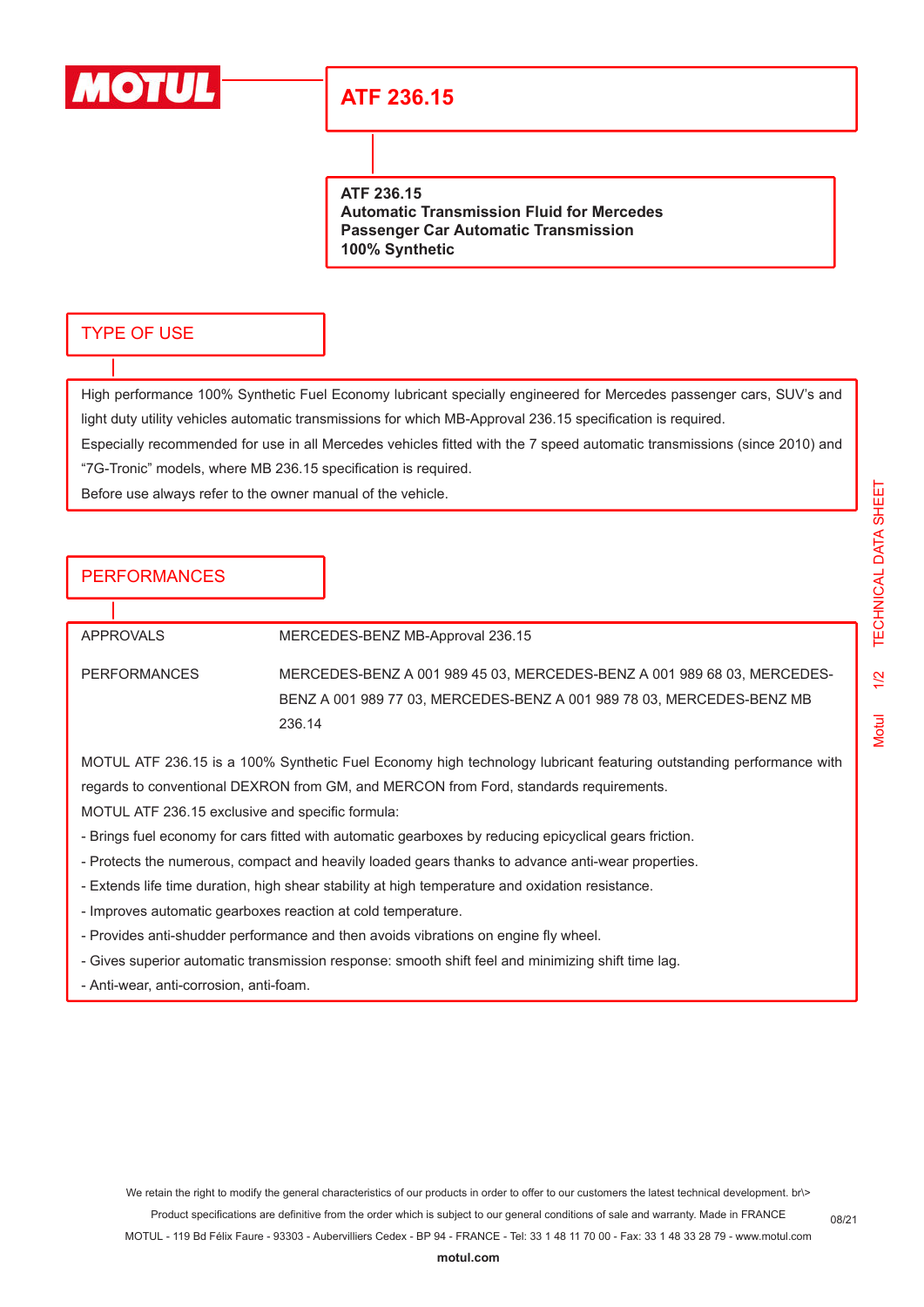

## **ATF 236.15**

**ATF 236.15**

**Automatic Transmission Fluid for Mercedes Passenger Car Automatic Transmission 100% Synthetic**

#### TYPE OF USE

High performance 100% Synthetic Fuel Economy lubricant specially engineered for Mercedes passenger cars, SUV's and light duty utility vehicles automatic transmissions for which MB-Approval 236.15 specification is required.

Especially recommended for use in all Mercedes vehicles fitted with the 7 speed automatic transmissions (since 2010) and "7G-Tronic" models, where MB 236.15 specification is required.

Before use always refer to the owner manual of the vehicle.

### PERFORMANCES

APPROVALS MERCEDES-BENZ MB-Approval 236.15 PERFORMANCES MERCEDES-BENZ A 001 989 45 03, MERCEDES-BENZ A 001 989 68 03, MERCEDES-BENZ A 001 989 77 03, MERCEDES-BENZ A 001 989 78 03, MERCEDES-BENZ MB 236.14

MOTUL ATF 236.15 is a 100% Synthetic Fuel Economy high technology lubricant featuring outstanding performance with regards to conventional DEXRON from GM, and MERCON from Ford, standards requirements.

MOTUL ATF 236.15 exclusive and specific formula:

- Brings fuel economy for cars fitted with automatic gearboxes by reducing epicyclical gears friction.
- Protects the numerous, compact and heavily loaded gears thanks to advance anti-wear properties.
- Extends life time duration, high shear stability at high temperature and oxidation resistance.
- Improves automatic gearboxes reaction at cold temperature.
- Provides anti-shudder performance and then avoids vibrations on engine fly wheel.
- Gives superior automatic transmission response: smooth shift feel and minimizing shift time lag.
- Anti-wear, anti-corrosion, anti-foam.

We retain the right to modify the general characteristics of our products in order to offer to our customers the latest technical development. br\> Product specifications are definitive from the order which is subject to our general conditions of sale and warranty. Made in FRANCE MOTUL - 119 Bd Félix Faure - 93303 - Aubervilliers Cedex - BP 94 - FRANCE - Tel: 33 1 48 11 70 00 - Fax: 33 1 48 33 28 79 - www.motul.com